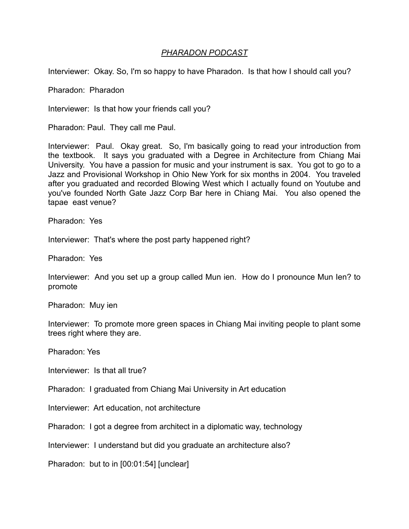## *PHARADON PODCAST*

Interviewer: Okay. So, I'm so happy to have Pharadon. Is that how I should call you?

Pharadon: Pharadon

Interviewer: Is that how your friends call you?

Pharadon: Paul. They call me Paul.

Interviewer: Paul. Okay great. So, I'm basically going to read your introduction from the textbook. It says you graduated with a Degree in Architecture from Chiang Mai University. You have a passion for music and your instrument is sax. You got to go to a Jazz and Provisional Workshop in Ohio New York for six months in 2004. You traveled after you graduated and recorded Blowing West which I actually found on Youtube and you've founded North Gate Jazz Corp Bar here in Chiang Mai. You also opened the tapae east venue?

Pharadon: Yes

Interviewer: That's where the post party happened right?

Pharadon: Yes

Interviewer: And you set up a group called Mun ien. How do I pronounce Mun Ien? to promote

Pharadon: Muy ien

Interviewer: To promote more green spaces in Chiang Mai inviting people to plant some trees right where they are.

Pharadon: Yes

Interviewer: Is that all true?

Pharadon: I graduated from Chiang Mai University in Art education

Interviewer: Art education, not architecture

Pharadon: I got a degree from architect in a diplomatic way, technology

Interviewer: I understand but did you graduate an architecture also?

Pharadon: but to in [00:01:54] [unclear]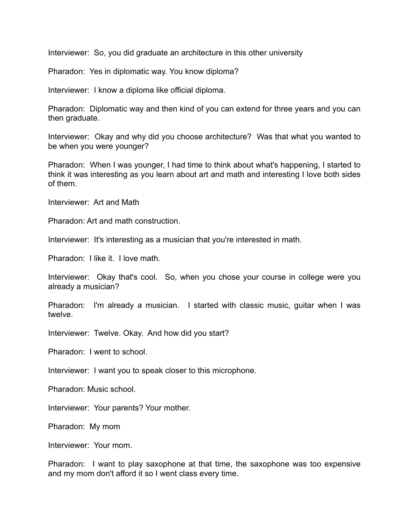Interviewer: So, you did graduate an architecture in this other university

Pharadon: Yes in diplomatic way. You know diploma?

Interviewer: I know a diploma like official diploma.

Pharadon: Diplomatic way and then kind of you can extend for three years and you can then graduate.

Interviewer: Okay and why did you choose architecture? Was that what you wanted to be when you were younger?

Pharadon: When I was younger, I had time to think about what's happening, I started to think it was interesting as you learn about art and math and interesting I love both sides of them.

Interviewer: Art and Math

Pharadon: Art and math construction.

Interviewer: It's interesting as a musician that you're interested in math.

Pharadon: I like it. I love math.

Interviewer: Okay that's cool. So, when you chose your course in college were you already a musician?

Pharadon: I'm already a musician. I started with classic music, guitar when I was twelve.

Interviewer: Twelve. Okay. And how did you start?

Pharadon: I went to school.

Interviewer: I want you to speak closer to this microphone.

Pharadon: Music school.

Interviewer: Your parents? Your mother.

Pharadon: My mom

Interviewer: Your mom.

Pharadon: I want to play saxophone at that time, the saxophone was too expensive and my mom don't afford it so I went class every time.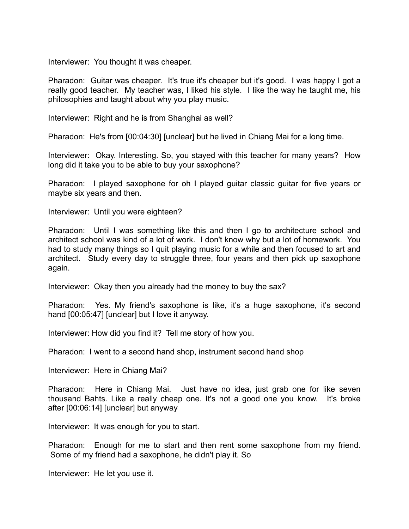Interviewer: You thought it was cheaper.

Pharadon: Guitar was cheaper. It's true it's cheaper but it's good. I was happy I got a really good teacher. My teacher was, I liked his style. I like the way he taught me, his philosophies and taught about why you play music.

Interviewer: Right and he is from Shanghai as well?

Pharadon: He's from [00:04:30] [unclear] but he lived in Chiang Mai for a long time.

Interviewer: Okay. Interesting. So, you stayed with this teacher for many years? How long did it take you to be able to buy your saxophone?

Pharadon: I played saxophone for oh I played guitar classic guitar for five years or maybe six years and then.

Interviewer: Until you were eighteen?

Pharadon: Until I was something like this and then I go to architecture school and architect school was kind of a lot of work. I don't know why but a lot of homework. You had to study many things so I quit playing music for a while and then focused to art and architect. Study every day to struggle three, four years and then pick up saxophone again.

Interviewer: Okay then you already had the money to buy the sax?

Pharadon: Yes. My friend's saxophone is like, it's a huge saxophone, it's second hand [00:05:47] [unclear] but I love it anyway.

Interviewer: How did you find it? Tell me story of how you.

Pharadon: I went to a second hand shop, instrument second hand shop

Interviewer: Here in Chiang Mai?

Pharadon: Here in Chiang Mai. Just have no idea, just grab one for like seven thousand Bahts. Like a really cheap one. It's not a good one you know. It's broke after [00:06:14] [unclear] but anyway

Interviewer: It was enough for you to start.

Pharadon: Enough for me to start and then rent some saxophone from my friend. Some of my friend had a saxophone, he didn't play it. So

Interviewer: He let you use it.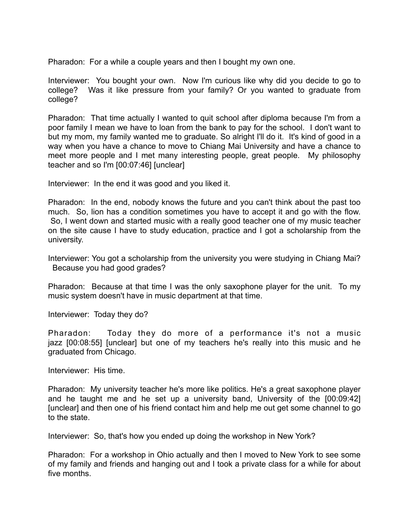Pharadon: For a while a couple years and then I bought my own one.

Interviewer: You bought your own. Now I'm curious like why did you decide to go to college? Was it like pressure from your family? Or you wanted to graduate from college?

Pharadon: That time actually I wanted to quit school after diploma because I'm from a poor family I mean we have to loan from the bank to pay for the school. I don't want to but my mom, my family wanted me to graduate. So alright I'll do it. It's kind of good in a way when you have a chance to move to Chiang Mai University and have a chance to meet more people and I met many interesting people, great people. My philosophy teacher and so I'm [00:07:46] [unclear]

Interviewer: In the end it was good and you liked it.

Pharadon: In the end, nobody knows the future and you can't think about the past too much. So, lion has a condition sometimes you have to accept it and go with the flow. So, I went down and started music with a really good teacher one of my music teacher on the site cause I have to study education, practice and I got a scholarship from the university.

Interviewer: You got a scholarship from the university you were studying in Chiang Mai? Because you had good grades?

Pharadon: Because at that time I was the only saxophone player for the unit. To my music system doesn't have in music department at that time.

Interviewer: Today they do?

Pharadon: Today they do more of a performance it's not a music jazz [00:08:55] [unclear] but one of my teachers he's really into this music and he graduated from Chicago.

Interviewer: His time.

Pharadon: My university teacher he's more like politics. He's a great saxophone player and he taught me and he set up a university band, University of the [00:09:42] [unclear] and then one of his friend contact him and help me out get some channel to go to the state.

Interviewer: So, that's how you ended up doing the workshop in New York?

Pharadon: For a workshop in Ohio actually and then I moved to New York to see some of my family and friends and hanging out and I took a private class for a while for about five months.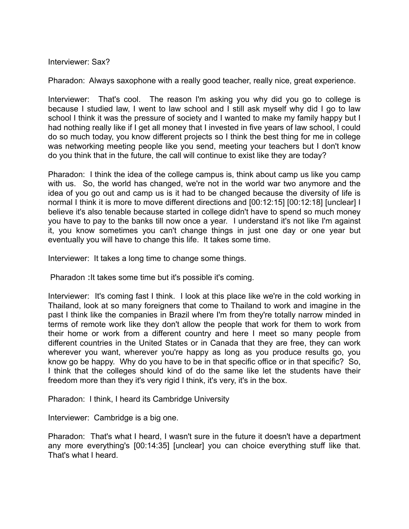Interviewer: Sax?

Pharadon: Always saxophone with a really good teacher, really nice, great experience.

Interviewer: That's cool. The reason I'm asking you why did you go to college is because I studied law, I went to law school and I still ask myself why did I go to law school I think it was the pressure of society and I wanted to make my family happy but I had nothing really like if I get all money that I invested in five years of law school, I could do so much today, you know different projects so I think the best thing for me in college was networking meeting people like you send, meeting your teachers but I don't know do you think that in the future, the call will continue to exist like they are today?

Pharadon: I think the idea of the college campus is, think about camp us like you camp with us. So, the world has changed, we're not in the world war two anymore and the idea of you go out and camp us is it had to be changed because the diversity of life is normal I think it is more to move different directions and [00:12:15] [00:12:18] [unclear] I believe it's also tenable because started in college didn't have to spend so much money you have to pay to the banks till now once a year. I understand it's not like I'm against it, you know sometimes you can't change things in just one day or one year but eventually you will have to change this life. It takes some time.

Interviewer: It takes a long time to change some things.

Pharadon :It takes some time but it's possible it's coming.

Interviewer: It's coming fast I think. I look at this place like we're in the cold working in Thailand, look at so many foreigners that come to Thailand to work and imagine in the past I think like the companies in Brazil where I'm from they're totally narrow minded in terms of remote work like they don't allow the people that work for them to work from their home or work from a different country and here I meet so many people from different countries in the United States or in Canada that they are free, they can work wherever you want, wherever you're happy as long as you produce results go, you know go be happy. Why do you have to be in that specific office or in that specific? So, I think that the colleges should kind of do the same like let the students have their freedom more than they it's very rigid I think, it's very, it's in the box.

Pharadon: I think, I heard its Cambridge University

Interviewer: Cambridge is a big one.

Pharadon: That's what I heard, I wasn't sure in the future it doesn't have a department any more everything's [00:14:35] [unclear] you can choice everything stuff like that. That's what I heard.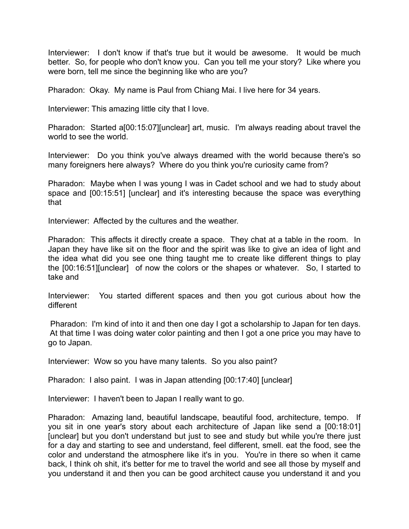Interviewer: I don't know if that's true but it would be awesome. It would be much better. So, for people who don't know you. Can you tell me your story? Like where you were born, tell me since the beginning like who are you?

Pharadon: Okay. My name is Paul from Chiang Mai. I live here for 34 years.

Interviewer: This amazing little city that I love.

Pharadon: Started a[00:15:07][unclear] art, music. I'm always reading about travel the world to see the world.

Interviewer: Do you think you've always dreamed with the world because there's so many foreigners here always? Where do you think you're curiosity came from?

Pharadon: Maybe when I was young I was in Cadet school and we had to study about space and [00:15:51] [unclear] and it's interesting because the space was everything that

Interviewer: Affected by the cultures and the weather.

Pharadon: This affects it directly create a space. They chat at a table in the room. In Japan they have like sit on the floor and the spirit was like to give an idea of light and the idea what did you see one thing taught me to create like different things to play the [00:16:51][unclear] of now the colors or the shapes or whatever. So, I started to take and

Interviewer: You started different spaces and then you got curious about how the different

 Pharadon: I'm kind of into it and then one day I got a scholarship to Japan for ten days. At that time I was doing water color painting and then I got a one price you may have to go to Japan.

Interviewer: Wow so you have many talents. So you also paint?

Pharadon: I also paint. I was in Japan attending [00:17:40] [unclear]

Interviewer: I haven't been to Japan I really want to go.

Pharadon: Amazing land, beautiful landscape, beautiful food, architecture, tempo. If you sit in one year's story about each architecture of Japan like send a [00:18:01] [unclear] but you don't understand but just to see and study but while you're there just for a day and starting to see and understand, feel different, smell. eat the food, see the color and understand the atmosphere like it's in you. You're in there so when it came back, I think oh shit, it's better for me to travel the world and see all those by myself and you understand it and then you can be good architect cause you understand it and you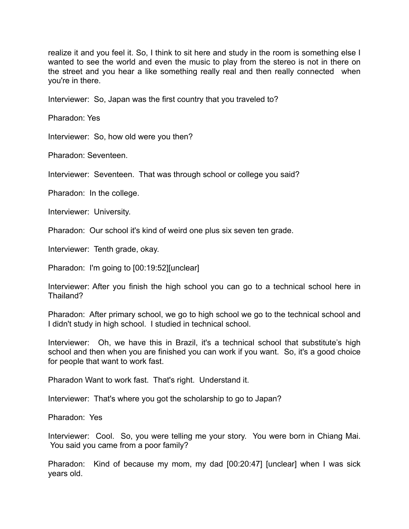realize it and you feel it. So, I think to sit here and study in the room is something else I wanted to see the world and even the music to play from the stereo is not in there on the street and you hear a like something really real and then really connected when you're in there.

Interviewer: So, Japan was the first country that you traveled to?

Pharadon: Yes

Interviewer: So, how old were you then?

Pharadon: Seventeen.

Interviewer: Seventeen. That was through school or college you said?

Pharadon: In the college.

Interviewer: University.

Pharadon: Our school it's kind of weird one plus six seven ten grade.

Interviewer: Tenth grade, okay.

Pharadon: I'm going to [00:19:52][unclear]

Interviewer: After you finish the high school you can go to a technical school here in Thailand?

Pharadon: After primary school, we go to high school we go to the technical school and I didn't study in high school. I studied in technical school.

Interviewer: Oh, we have this in Brazil, it's a technical school that substitute's high school and then when you are finished you can work if you want. So, it's a good choice for people that want to work fast.

Pharadon Want to work fast. That's right. Understand it.

Interviewer: That's where you got the scholarship to go to Japan?

Pharadon: Yes

Interviewer: Cool. So, you were telling me your story. You were born in Chiang Mai. You said you came from a poor family?

Pharadon: Kind of because my mom, my dad [00:20:47] [unclear] when I was sick years old.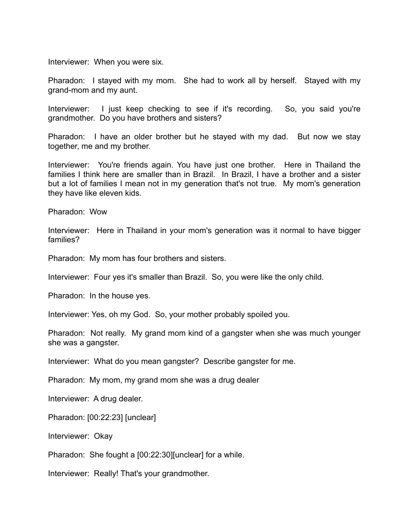Interviewer: When you were six.

Pharadon: I stayed with my mom. She had to work all by herself. Stayed with my grand-mom and my aunt.

Interviewer: I just keep checking to see if it's recording. So, you said you're grandmother. Do you have brothers and sisters?

Pharadon: I have an older brother but he stayed with my dad. But now we stay together, me and my brother.

Interviewer: You're friends again. You have just one brother. Here in Thailand the families I think here are smaller than in Brazil. In Brazil, I have a brother and a sister but a lot of families I mean not in my generation that's not true. My mom's generation they have like eleven kids.

Pharadon: Wow

Interviewer: Here in Thailand in your mom's generation was it normal to have bigger families?

Pharadon: My mom has four brothers and sisters.

Interviewer: Four yes it's smaller than Brazil. So, you were like the only child.

Pharadon: In the house yes.

Interviewer: Yes, oh my God. So, your mother probably spoiled you.

Pharadon: Not really. My grand mom kind of a gangster when she was much younger she was a gangster.

Interviewer: What do you mean gangster? Describe gangster for me.

Pharadon: My mom, my grand mom she was a drug dealer

Interviewer: A drug dealer.

Pharadon: [00:22:23] [unclear]

Interviewer: Okay

Pharadon: She fought a [00:22:30][unclear] for a while.

Interviewer: Really! That's your grandmother.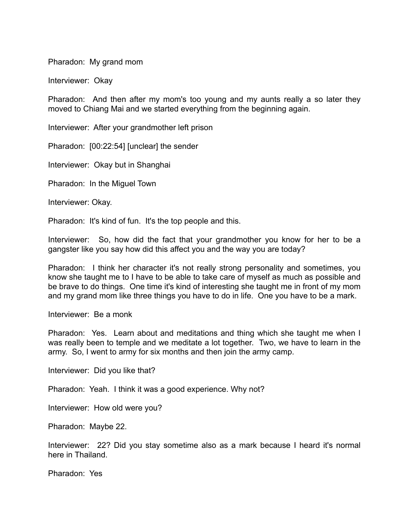Pharadon: My grand mom

Interviewer: Okay

Pharadon: And then after my mom's too young and my aunts really a so later they moved to Chiang Mai and we started everything from the beginning again.

Interviewer: After your grandmother left prison

Pharadon: [00:22:54] [unclear] the sender

Interviewer: Okay but in Shanghai

Pharadon: In the Miguel Town

Interviewer: Okay.

Pharadon: It's kind of fun. It's the top people and this.

Interviewer: So, how did the fact that your grandmother you know for her to be a gangster like you say how did this affect you and the way you are today?

Pharadon: I think her character it's not really strong personality and sometimes, you know she taught me to I have to be able to take care of myself as much as possible and be brave to do things. One time it's kind of interesting she taught me in front of my mom and my grand mom like three things you have to do in life. One you have to be a mark.

Interviewer: Be a monk

Pharadon: Yes. Learn about and meditations and thing which she taught me when I was really been to temple and we meditate a lot together. Two, we have to learn in the army. So, I went to army for six months and then join the army camp.

Interviewer: Did you like that?

Pharadon: Yeah. I think it was a good experience. Why not?

Interviewer: How old were you?

Pharadon: Maybe 22.

Interviewer: 22? Did you stay sometime also as a mark because I heard it's normal here in Thailand.

Pharadon: Yes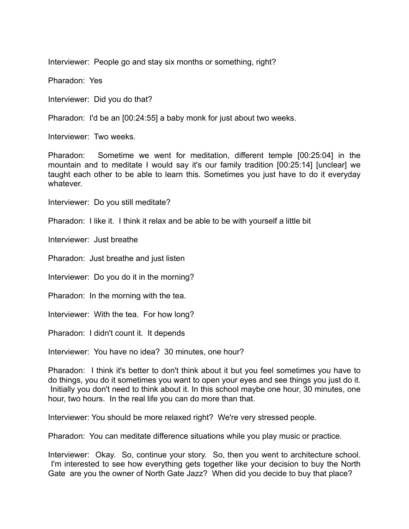Interviewer: People go and stay six months or something, right?

Pharadon: Yes

Interviewer: Did you do that?

Pharadon: I'd be an [00:24:55] a baby monk for just about two weeks.

Interviewer: Two weeks.

Pharadon: Sometime we went for meditation, different temple [00:25:04] in the mountain and to meditate I would say it's our family tradition [00:25:14] [unclear] we taught each other to be able to learn this. Sometimes you just have to do it everyday whatever.

Interviewer: Do you still meditate?

Pharadon: I like it. I think it relax and be able to be with yourself a little bit

Interviewer: Just breathe

Pharadon: Just breathe and just listen

Interviewer: Do you do it in the morning?

Pharadon: In the morning with the tea.

Interviewer: With the tea. For how long?

Pharadon: I didn't count it. It depends

Interviewer: You have no idea? 30 minutes, one hour?

Pharadon: I think it's better to don't think about it but you feel sometimes you have to do things, you do it sometimes you want to open your eyes and see things you just do it. Initially you don't need to think about it. In this school maybe one hour, 30 minutes, one hour, two hours. In the real life you can do more than that.

Interviewer: You should be more relaxed right? We're very stressed people.

Pharadon: You can meditate difference situations while you play music or practice.

Interviewer: Okay. So, continue your story. So, then you went to architecture school. I'm interested to see how everything gets together like your decision to buy the North Gate are you the owner of North Gate Jazz? When did you decide to buy that place?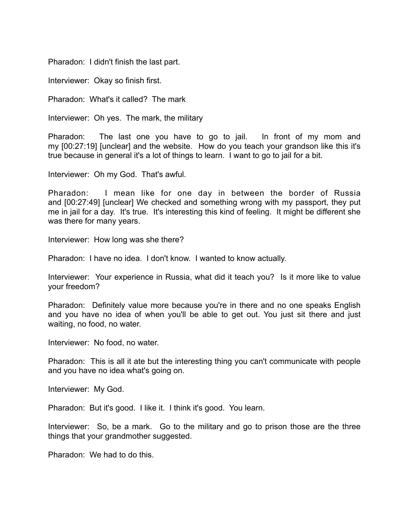Pharadon: I didn't finish the last part.

Interviewer: Okay so finish first.

Pharadon: What's it called? The mark

Interviewer: Oh yes. The mark, the military

Pharadon: The last one you have to go to jail. In front of my mom and my [00:27:19] [unclear] and the website. How do you teach your grandson like this it's true because in general it's a lot of things to learn. I want to go to jail for a bit.

Interviewer: Oh my God. That's awful.

Pharadon: I mean like for one day in between the border of Russia and [00:27:49] [unclear] We checked and something wrong with my passport, they put me in jail for a day. It's true. It's interesting this kind of feeling. It might be different she was there for many years.

Interviewer: How long was she there?

Pharadon: I have no idea. I don't know. I wanted to know actually.

Interviewer: Your experience in Russia, what did it teach you? Is it more like to value your freedom?

Pharadon: Definitely value more because you're in there and no one speaks English and you have no idea of when you'll be able to get out. You just sit there and just waiting, no food, no water.

Interviewer: No food, no water.

Pharadon: This is all it ate but the interesting thing you can't communicate with people and you have no idea what's going on.

Interviewer: My God.

Pharadon: But it's good. I like it. I think it's good. You learn.

Interviewer: So, be a mark. Go to the military and go to prison those are the three things that your grandmother suggested.

Pharadon: We had to do this.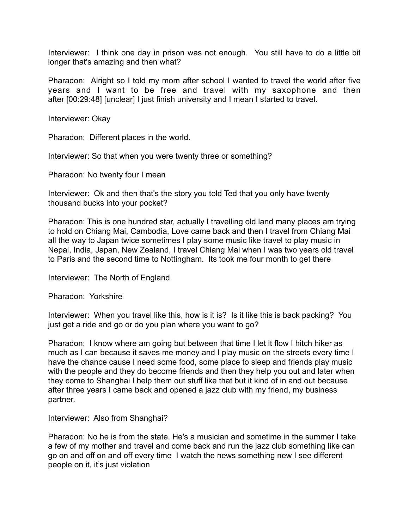Interviewer: I think one day in prison was not enough. You still have to do a little bit longer that's amazing and then what?

Pharadon: Alright so I told my mom after school I wanted to travel the world after five years and I want to be free and travel with my saxophone and then after [00:29:48] [unclear] I just finish university and I mean I started to travel.

Interviewer: Okay

Pharadon: Different places in the world.

Interviewer: So that when you were twenty three or something?

Pharadon: No twenty four I mean

Interviewer: Ok and then that's the story you told Ted that you only have twenty thousand bucks into your pocket?

Pharadon: This is one hundred star, actually I travelling old land many places am trying to hold on Chiang Mai, Cambodia, Love came back and then I travel from Chiang Mai all the way to Japan twice sometimes I play some music like travel to play music in Nepal, India, Japan, New Zealand, I travel Chiang Mai when I was two years old travel to Paris and the second time to Nottingham. Its took me four month to get there

Interviewer: The North of England

Pharadon: Yorkshire

Interviewer: When you travel like this, how is it is? Is it like this is back packing? You just get a ride and go or do you plan where you want to go?

Pharadon: I know where am going but between that time I let it flow I hitch hiker as much as I can because it saves me money and I play music on the streets every time I have the chance cause I need some food, some place to sleep and friends play music with the people and they do become friends and then they help you out and later when they come to Shanghai I help them out stuff like that but it kind of in and out because after three years I came back and opened a jazz club with my friend, my business partner.

Interviewer: Also from Shanghai?

Pharadon: No he is from the state. He's a musician and sometime in the summer I take a few of my mother and travel and come back and run the jazz club something like can go on and off on and off every time I watch the news something new I see different people on it, it's just violation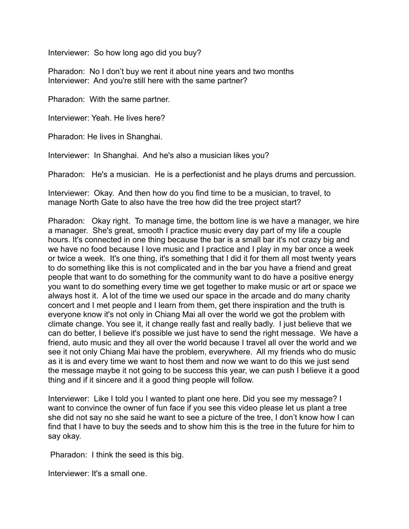Interviewer: So how long ago did you buy?

Pharadon: No I don't buy we rent it about nine years and two months Interviewer: And you're still here with the same partner?

Pharadon: With the same partner.

Interviewer: Yeah. He lives here?

Pharadon: He lives in Shanghai.

Interviewer: In Shanghai. And he's also a musician likes you?

Pharadon: He's a musician. He is a perfectionist and he plays drums and percussion.

Interviewer: Okay. And then how do you find time to be a musician, to travel, to manage North Gate to also have the tree how did the tree project start?

Pharadon: Okay right. To manage time, the bottom line is we have a manager, we hire a manager. She's great, smooth I practice music every day part of my life a couple hours. It's connected in one thing because the bar is a small bar it's not crazy big and we have no food because I love music and I practice and I play in my bar once a week or twice a week. It's one thing, it's something that I did it for them all most twenty years to do something like this is not complicated and in the bar you have a friend and great people that want to do something for the community want to do have a positive energy you want to do something every time we get together to make music or art or space we always host it. A lot of the time we used our space in the arcade and do many charity concert and I met people and I learn from them, get there inspiration and the truth is everyone know it's not only in Chiang Mai all over the world we got the problem with climate change. You see it, it change really fast and really badly. I just believe that we can do better, I believe it's possible we just have to send the right message. We have a friend, auto music and they all over the world because I travel all over the world and we see it not only Chiang Mai have the problem, everywhere. All my friends who do music as it is and every time we want to host them and now we want to do this we just send the message maybe it not going to be success this year, we can push I believe it a good thing and if it sincere and it a good thing people will follow.

Interviewer: Like I told you I wanted to plant one here. Did you see my message? I want to convince the owner of fun face if you see this video please let us plant a tree she did not say no she said he want to see a picture of the tree, I don't know how I can find that I have to buy the seeds and to show him this is the tree in the future for him to say okay.

Pharadon: I think the seed is this big.

Interviewer: It's a small one.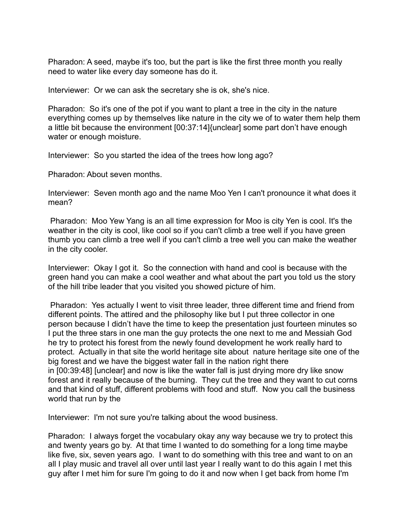Pharadon: A seed, maybe it's too, but the part is like the first three month you really need to water like every day someone has do it.

Interviewer: Or we can ask the secretary she is ok, she's nice.

Pharadon: So it's one of the pot if you want to plant a tree in the city in the nature everything comes up by themselves like nature in the city we of to water them help them a little bit because the environment [00:37:14]{unclear] some part don't have enough water or enough moisture.

Interviewer: So you started the idea of the trees how long ago?

Pharadon: About seven months.

Interviewer: Seven month ago and the name Moo Yen I can't pronounce it what does it mean?

 Pharadon: Moo Yew Yang is an all time expression for Moo is city Yen is cool. It's the weather in the city is cool, like cool so if you can't climb a tree well if you have green thumb you can climb a tree well if you can't climb a tree well you can make the weather in the city cooler.

Interviewer: Okay I got it. So the connection with hand and cool is because with the green hand you can make a cool weather and what about the part you told us the story of the hill tribe leader that you visited you showed picture of him.

 Pharadon: Yes actually I went to visit three leader, three different time and friend from different points. The attired and the philosophy like but I put three collector in one person because I didn't have the time to keep the presentation just fourteen minutes so I put the three stars in one man the guy protects the one next to me and Messiah God he try to protect his forest from the newly found development he work really hard to protect. Actually in that site the world heritage site about nature heritage site one of the big forest and we have the biggest water fall in the nation right there in [00:39:48] [unclear] and now is like the water fall is just drying more dry like snow forest and it really because of the burning. They cut the tree and they want to cut corns and that kind of stuff, different problems with food and stuff. Now you call the business world that run by the

Interviewer: I'm not sure you're talking about the wood business.

Pharadon: I always forget the vocabulary okay any way because we try to protect this and twenty years go by. At that time I wanted to do something for a long time maybe like five, six, seven years ago. I want to do something with this tree and want to on an all I play music and travel all over until last year I really want to do this again I met this guy after I met him for sure I'm going to do it and now when I get back from home I'm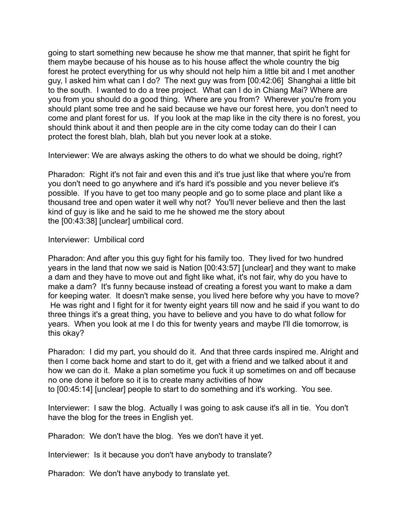going to start something new because he show me that manner, that spirit he fight for them maybe because of his house as to his house affect the whole country the big forest he protect everything for us why should not help him a little bit and I met another guy, I asked him what can I do? The next guy was from [00:42:06] Shanghai a little bit to the south. I wanted to do a tree project. What can I do in Chiang Mai? Where are you from you should do a good thing. Where are you from? Wherever you're from you should plant some tree and he said because we have our forest here, you don't need to come and plant forest for us. If you look at the map like in the city there is no forest, you should think about it and then people are in the city come today can do their I can protect the forest blah, blah, blah but you never look at a stoke.

Interviewer: We are always asking the others to do what we should be doing, right?

Pharadon: Right it's not fair and even this and it's true just like that where you're from you don't need to go anywhere and it's hard it's possible and you never believe it's possible. If you have to get too many people and go to some place and plant like a thousand tree and open water it well why not? You'll never believe and then the last kind of guy is like and he said to me he showed me the story about the [00:43:38] [unclear] umbilical cord.

## Interviewer: Umbilical cord

Pharadon: And after you this guy fight for his family too. They lived for two hundred years in the land that now we said is Nation [00:43:57] [unclear] and they want to make a dam and they have to move out and fight like what, it's not fair, why do you have to make a dam? It's funny because instead of creating a forest you want to make a dam for keeping water. It doesn't make sense, you lived here before why you have to move? He was right and I fight for it for twenty eight years till now and he said if you want to do three things it's a great thing, you have to believe and you have to do what follow for years. When you look at me I do this for twenty years and maybe I'll die tomorrow, is this okay?

Pharadon: I did my part, you should do it. And that three cards inspired me. Alright and then I come back home and start to do it, get with a friend and we talked about it and how we can do it. Make a plan sometime you fuck it up sometimes on and off because no one done it before so it is to create many activities of how to [00:45:14] [unclear] people to start to do something and it's working. You see.

Interviewer: I saw the blog. Actually I was going to ask cause it's all in tie. You don't have the blog for the trees in English yet.

Pharadon: We don't have the blog. Yes we don't have it yet.

Interviewer: Is it because you don't have anybody to translate?

Pharadon: We don't have anybody to translate yet.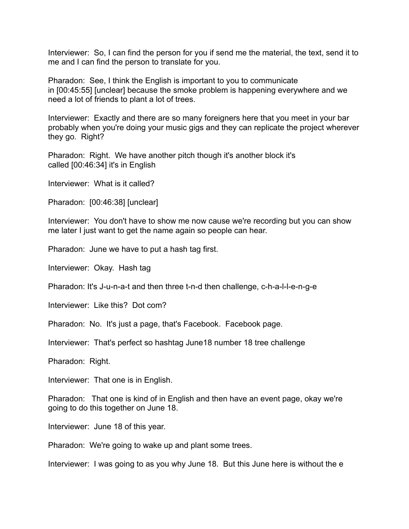Interviewer: So, I can find the person for you if send me the material, the text, send it to me and I can find the person to translate for you.

Pharadon: See, I think the English is important to you to communicate in [00:45:55] [unclear] because the smoke problem is happening everywhere and we need a lot of friends to plant a lot of trees.

Interviewer: Exactly and there are so many foreigners here that you meet in your bar probably when you're doing your music gigs and they can replicate the project wherever they go. Right?

Pharadon: Right. We have another pitch though it's another block it's called [00:46:34] it's in English

Interviewer: What is it called?

Pharadon: [00:46:38] [unclear]

Interviewer: You don't have to show me now cause we're recording but you can show me later I just want to get the name again so people can hear.

Pharadon: June we have to put a hash tag first.

Interviewer: Okay. Hash tag

Pharadon: It's J-u-n-a-t and then three t-n-d then challenge, c-h-a-l-l-e-n-g-e

Interviewer: Like this? Dot com?

Pharadon: No. It's just a page, that's Facebook. Facebook page.

Interviewer: That's perfect so hashtag June18 number 18 tree challenge

Pharadon: Right.

Interviewer: That one is in English.

Pharadon: That one is kind of in English and then have an event page, okay we're going to do this together on June 18.

Interviewer: June 18 of this year.

Pharadon: We're going to wake up and plant some trees.

Interviewer: I was going to as you why June 18. But this June here is without the e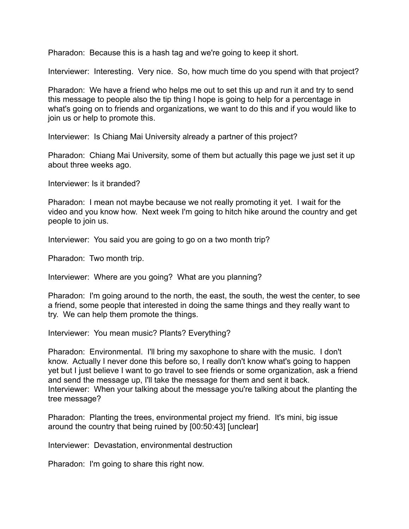Pharadon: Because this is a hash tag and we're going to keep it short.

Interviewer: Interesting. Very nice. So, how much time do you spend with that project?

Pharadon: We have a friend who helps me out to set this up and run it and try to send this message to people also the tip thing I hope is going to help for a percentage in what's going on to friends and organizations, we want to do this and if you would like to join us or help to promote this.

Interviewer: Is Chiang Mai University already a partner of this project?

Pharadon: Chiang Mai University, some of them but actually this page we just set it up about three weeks ago.

Interviewer: Is it branded?

Pharadon: I mean not maybe because we not really promoting it yet. I wait for the video and you know how. Next week I'm going to hitch hike around the country and get people to join us.

Interviewer: You said you are going to go on a two month trip?

Pharadon: Two month trip.

Interviewer: Where are you going? What are you planning?

Pharadon: I'm going around to the north, the east, the south, the west the center, to see a friend, some people that interested in doing the same things and they really want to try. We can help them promote the things.

Interviewer: You mean music? Plants? Everything?

Pharadon: Environmental. I'll bring my saxophone to share with the music. I don't know. Actually I never done this before so, I really don't know what's going to happen yet but I just believe I want to go travel to see friends or some organization, ask a friend and send the message up, I'll take the message for them and sent it back. Interviewer: When your talking about the message you're talking about the planting the tree message?

Pharadon: Planting the trees, environmental project my friend. It's mini, big issue around the country that being ruined by [00:50:43] [unclear]

Interviewer: Devastation, environmental destruction

Pharadon: I'm going to share this right now.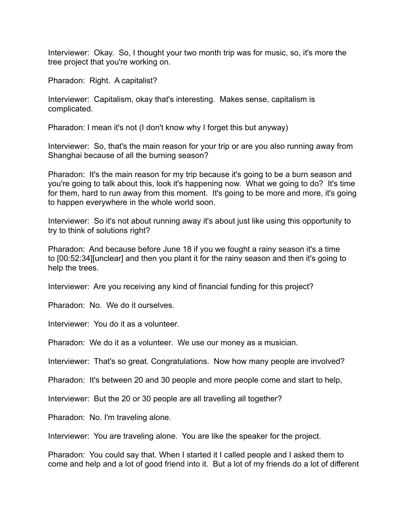Interviewer: Okay. So, I thought your two month trip was for music, so, it's more the tree project that you're working on.

Pharadon: Right. A capitalist?

Interviewer: Capitalism, okay that's interesting. Makes sense, capitalism is complicated.

Pharadon: I mean it's not (I don't know why I forget this but anyway)

Interviewer: So, that's the main reason for your trip or are you also running away from Shanghai because of all the burning season?

Pharadon: It's the main reason for my trip because it's going to be a burn season and you're going to talk about this, look it's happening now. What we going to do? It's time for them, hard to run away from this moment. It's going to be more and more, it's going to happen everywhere in the whole world soon.

Interviewer: So it's not about running away it's about just like using this opportunity to try to think of solutions right?

Pharadon: And because before June 18 if you we fought a rainy season it's a time to [00:52:34][unclear] and then you plant it for the rainy season and then it's going to help the trees.

Interviewer: Are you receiving any kind of financial funding for this project?

Pharadon: No. We do it ourselves.

Interviewer: You do it as a volunteer.

Pharadon: We do it as a volunteer. We use our money as a musician.

Interviewer: That's so great. Congratulations. Now how many people are involved?

Pharadon: It's between 20 and 30 people and more people come and start to help,

Interviewer: But the 20 or 30 people are all travelling all together?

Pharadon: No. I'm traveling alone.

Interviewer: You are traveling alone. You are like the speaker for the project.

Pharadon: You could say that. When I started it I called people and I asked them to come and help and a lot of good friend into it. But a lot of my friends do a lot of different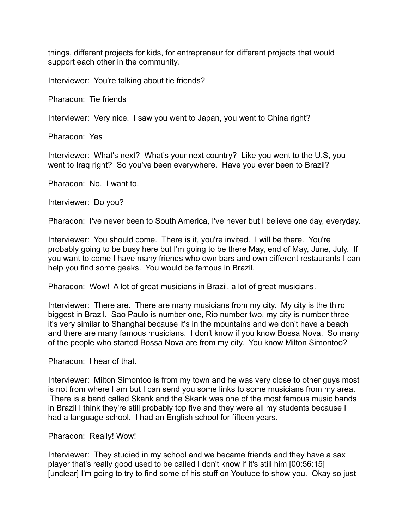things, different projects for kids, for entrepreneur for different projects that would support each other in the community.

Interviewer: You're talking about tie friends?

Pharadon: Tie friends

Interviewer: Very nice. I saw you went to Japan, you went to China right?

Pharadon: Yes

Interviewer: What's next? What's your next country? Like you went to the U.S, you went to Iraq right? So you've been everywhere. Have you ever been to Brazil?

Pharadon: No. I want to.

Interviewer: Do you?

Pharadon: I've never been to South America, I've never but I believe one day, everyday.

Interviewer: You should come. There is it, you're invited. I will be there. You're probably going to be busy here but I'm going to be there May, end of May, June, July. If you want to come I have many friends who own bars and own different restaurants I can help you find some geeks. You would be famous in Brazil.

Pharadon: Wow! A lot of great musicians in Brazil, a lot of great musicians.

Interviewer: There are. There are many musicians from my city. My city is the third biggest in Brazil. Sao Paulo is number one, Rio number two, my city is number three it's very similar to Shanghai because it's in the mountains and we don't have a beach and there are many famous musicians. I don't know if you know Bossa Nova. So many of the people who started Bossa Nova are from my city. You know Milton Simontoo?

Pharadon: I hear of that.

Interviewer: Milton Simontoo is from my town and he was very close to other guys most is not from where I am but I can send you some links to some musicians from my area. There is a band called Skank and the Skank was one of the most famous music bands in Brazil I think they're still probably top five and they were all my students because I had a language school. I had an English school for fifteen years.

Pharadon: Really! Wow!

Interviewer: They studied in my school and we became friends and they have a sax player that's really good used to be called I don't know if it's still him [00:56:15] [unclear] I'm going to try to find some of his stuff on Youtube to show you. Okay so just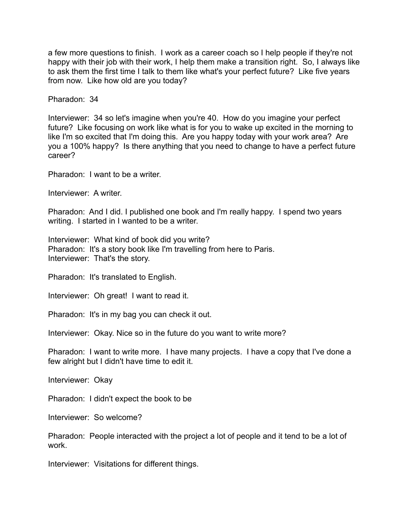a few more questions to finish. I work as a career coach so I help people if they're not happy with their job with their work, I help them make a transition right. So, I always like to ask them the first time I talk to them like what's your perfect future? Like five years from now. Like how old are you today?

Pharadon: 34

Interviewer: 34 so let's imagine when you're 40. How do you imagine your perfect future? Like focusing on work like what is for you to wake up excited in the morning to like I'm so excited that I'm doing this. Are you happy today with your work area? Are you a 100% happy? Is there anything that you need to change to have a perfect future career?

Pharadon: I want to be a writer.

Interviewer: A writer.

Pharadon: And I did. I published one book and I'm really happy. I spend two years writing. I started in I wanted to be a writer.

Interviewer: What kind of book did you write? Pharadon: It's a story book like I'm travelling from here to Paris. Interviewer: That's the story.

Pharadon: It's translated to English.

Interviewer: Oh great! I want to read it.

Pharadon: It's in my bag you can check it out.

Interviewer: Okay. Nice so in the future do you want to write more?

Pharadon: I want to write more. I have many projects. I have a copy that I've done a few alright but I didn't have time to edit it.

Interviewer: Okay

Pharadon: I didn't expect the book to be

Interviewer: So welcome?

Pharadon: People interacted with the project a lot of people and it tend to be a lot of work.

Interviewer: Visitations for different things.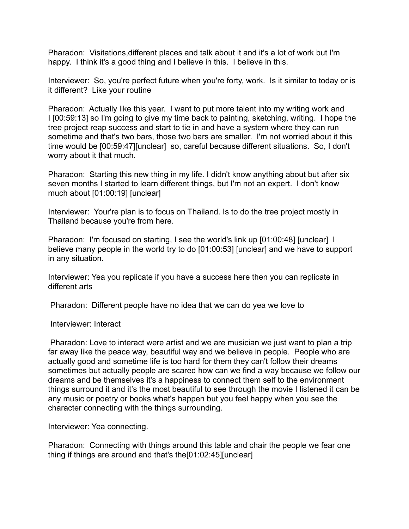Pharadon: Visitations,different places and talk about it and it's a lot of work but I'm happy. I think it's a good thing and I believe in this. I believe in this.

Interviewer: So, you're perfect future when you're forty, work. Is it similar to today or is it different? Like your routine

Pharadon: Actually like this year. I want to put more talent into my writing work and I [00:59:13] so I'm going to give my time back to painting, sketching, writing. I hope the tree project reap success and start to tie in and have a system where they can run sometime and that's two bars, those two bars are smaller. I'm not worried about it this time would be [00:59:47][unclear] so, careful because different situations. So, I don't worry about it that much.

Pharadon: Starting this new thing in my life. I didn't know anything about but after six seven months I started to learn different things, but I'm not an expert. I don't know much about [01:00:19] [unclear]

Interviewer: Your're plan is to focus on Thailand. Is to do the tree project mostly in Thailand because you're from here.

Pharadon: I'm focused on starting, I see the world's link up [01:00:48] [unclear] I believe many people in the world try to do [01:00:53] [unclear] and we have to support in any situation.

Interviewer: Yea you replicate if you have a success here then you can replicate in different arts

Pharadon: Different people have no idea that we can do yea we love to

Interviewer: Interact

 Pharadon: Love to interact were artist and we are musician we just want to plan a trip far away like the peace way, beautiful way and we believe in people. People who are actually good and sometime life is too hard for them they can't follow their dreams sometimes but actually people are scared how can we find a way because we follow our dreams and be themselves it's a happiness to connect them self to the environment things surround it and it's the most beautiful to see through the movie I listened it can be any music or poetry or books what's happen but you feel happy when you see the character connecting with the things surrounding.

Interviewer: Yea connecting.

Pharadon: Connecting with things around this table and chair the people we fear one thing if things are around and that's the[01:02:45][unclear]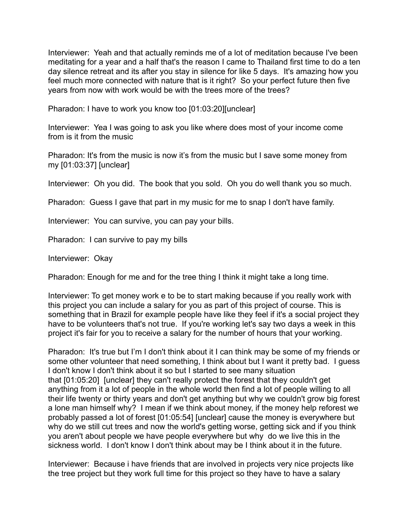Interviewer: Yeah and that actually reminds me of a lot of meditation because I've been meditating for a year and a half that's the reason I came to Thailand first time to do a ten day silence retreat and its after you stay in silence for like 5 days. It's amazing how you feel much more connected with nature that is it right? So your perfect future then five years from now with work would be with the trees more of the trees?

Pharadon: I have to work you know too [01:03:20][unclear]

Interviewer: Yea I was going to ask you like where does most of your income come from is it from the music

Pharadon: It's from the music is now it's from the music but I save some money from my [01:03:37] [unclear]

Interviewer: Oh you did. The book that you sold. Oh you do well thank you so much.

Pharadon: Guess I gave that part in my music for me to snap I don't have family.

Interviewer: You can survive, you can pay your bills.

Pharadon: I can survive to pay my bills

Interviewer: Okay

Pharadon: Enough for me and for the tree thing I think it might take a long time.

Interviewer: To get money work e to be to start making because if you really work with this project you can include a salary for you as part of this project of course. This is something that in Brazil for example people have like they feel if it's a social project they have to be volunteers that's not true. If you're working let's say two days a week in this project it's fair for you to receive a salary for the number of hours that your working.

Pharadon: It's true but I'm I don't think about it I can think may be some of my friends or some other volunteer that need something, I think about but I want it pretty bad. I quess I don't know I don't think about it so but I started to see many situation that [01:05:20] [unclear] they can't really protect the forest that they couldn't get anything from it a lot of people in the whole world then find a lot of people willing to all their life twenty or thirty years and don't get anything but why we couldn't grow big forest a lone man himself why? I mean if we think about money, if the money help reforest we probably passed a lot of forest [01:05:54] [unclear] cause the money is everywhere but why do we still cut trees and now the world's getting worse, getting sick and if you think you aren't about people we have people everywhere but why do we live this in the sickness world. I don't know I don't think about may be I think about it in the future.

Interviewer: Because i have friends that are involved in projects very nice projects like the tree project but they work full time for this project so they have to have a salary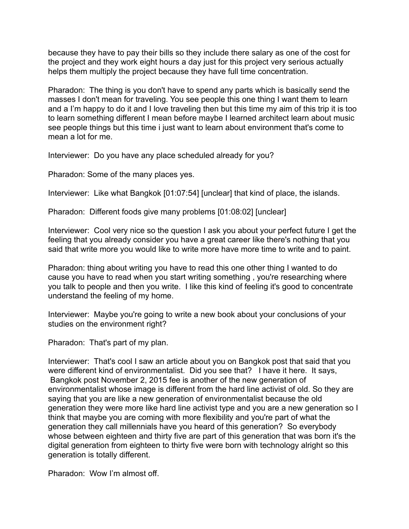because they have to pay their bills so they include there salary as one of the cost for the project and they work eight hours a day just for this project very serious actually helps them multiply the project because they have full time concentration.

Pharadon: The thing is you don't have to spend any parts which is basically send the masses I don't mean for traveling. You see people this one thing I want them to learn and a I'm happy to do it and I love traveling then but this time my aim of this trip it is too to learn something different I mean before maybe I learned architect learn about music see people things but this time i just want to learn about environment that's come to mean a lot for me.

Interviewer: Do you have any place scheduled already for you?

Pharadon: Some of the many places yes.

Interviewer: Like what Bangkok [01:07:54] [unclear] that kind of place, the islands.

Pharadon: Different foods give many problems [01:08:02] [unclear]

Interviewer: Cool very nice so the question I ask you about your perfect future I get the feeling that you already consider you have a great career like there's nothing that you said that write more you would like to write more have more time to write and to paint.

Pharadon: thing about writing you have to read this one other thing I wanted to do cause you have to read when you start writing something , you're researching where you talk to people and then you write. I like this kind of feeling it's good to concentrate understand the feeling of my home.

Interviewer: Maybe you're going to write a new book about your conclusions of your studies on the environment right?

Pharadon: That's part of my plan.

Interviewer: That's cool I saw an article about you on Bangkok post that said that you were different kind of environmentalist. Did you see that? I have it here. It says, Bangkok post November 2, 2015 fee is another of the new generation of environmentalist whose image is different from the hard line activist of old. So they are saying that you are like a new generation of environmentalist because the old generation they were more like hard line activist type and you are a new generation so I think that maybe you are coming with more flexibility and you're part of what the generation they call millennials have you heard of this generation? So everybody whose between eighteen and thirty five are part of this generation that was born it's the digital generation from eighteen to thirty five were born with technology alright so this generation is totally different.

Pharadon: Wow I'm almost off.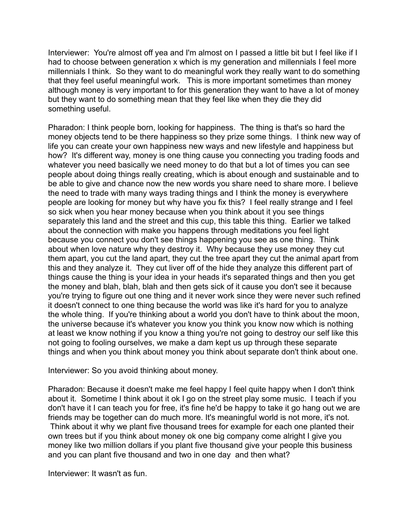Interviewer: You're almost off yea and I'm almost on I passed a little bit but I feel like if I had to choose between generation x which is my generation and millennials I feel more millennials I think. So they want to do meaningful work they really want to do something that they feel useful meaningful work. This is more important sometimes than money although money is very important to for this generation they want to have a lot of money but they want to do something mean that they feel like when they die they did something useful.

Pharadon: I think people born, looking for happiness. The thing is that's so hard the money objects tend to be there happiness so they prize some things. I think new way of life you can create your own happiness new ways and new lifestyle and happiness but how? It's different way, money is one thing cause you connecting you trading foods and whatever you need basically we need money to do that but a lot of times you can see people about doing things really creating, which is about enough and sustainable and to be able to give and chance now the new words you share need to share more. I believe the need to trade with many ways trading things and I think the money is everywhere people are looking for money but why have you fix this? I feel really strange and I feel so sick when you hear money because when you think about it you see things separately this land and the street and this cup, this table this thing. Earlier we talked about the connection with make you happens through meditations you feel light because you connect you don't see things happening you see as one thing. Think about when love nature why they destroy it. Why because they use money they cut them apart, you cut the land apart, they cut the tree apart they cut the animal apart from this and they analyze it. They cut liver off of the hide they analyze this different part of things cause the thing is your idea in your heads it's separated things and then you get the money and blah, blah, blah and then gets sick of it cause you don't see it because you're trying to figure out one thing and it never work since they were never such refined it doesn't connect to one thing because the world was like it's hard for you to analyze the whole thing. If you're thinking about a world you don't have to think about the moon, the universe because it's whatever you know you think you know now which is nothing at least we know nothing if you know a thing you're not going to destroy our self like this not going to fooling ourselves, we make a dam kept us up through these separate things and when you think about money you think about separate don't think about one.

Interviewer: So you avoid thinking about money.

Pharadon: Because it doesn't make me feel happy I feel quite happy when I don't think about it. Sometime I think about it ok I go on the street play some music. I teach if you don't have it I can teach you for free, it's fine he'd be happy to take it go hang out we are friends may be together can do much more. It's meaningful world is not more, it's not. Think about it why we plant five thousand trees for example for each one planted their own trees but if you think about money ok one big company come alright I give you money like two million dollars if you plant five thousand give your people this business and you can plant five thousand and two in one day and then what?

Interviewer: It wasn't as fun.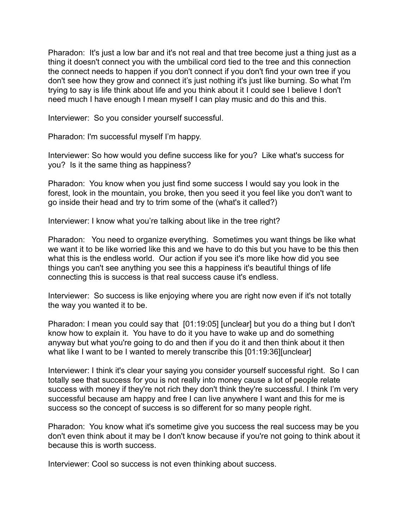Pharadon: It's just a low bar and it's not real and that tree become just a thing just as a thing it doesn't connect you with the umbilical cord tied to the tree and this connection the connect needs to happen if you don't connect if you don't find your own tree if you don't see how they grow and connect it's just nothing it's just like burning. So what I'm trying to say is life think about life and you think about it I could see I believe I don't need much I have enough I mean myself I can play music and do this and this.

Interviewer: So you consider yourself successful.

Pharadon: I'm successful myself I'm happy.

Interviewer: So how would you define success like for you? Like what's success for you? Is it the same thing as happiness?

Pharadon: You know when you just find some success I would say you look in the forest, look in the mountain, you broke, then you seed it you feel like you don't want to go inside their head and try to trim some of the (what's it called?)

Interviewer: I know what you're talking about like in the tree right?

Pharadon: You need to organize everything. Sometimes you want things be like what we want it to be like worried like this and we have to do this but you have to be this then what this is the endless world. Our action if you see it's more like how did you see things you can't see anything you see this a happiness it's beautiful things of life connecting this is success is that real success cause it's endless.

Interviewer: So success is like enjoying where you are right now even if it's not totally the way you wanted it to be.

Pharadon: I mean you could say that [01:19:05] [unclear] but you do a thing but I don't know how to explain it. You have to do it you have to wake up and do something anyway but what you're going to do and then if you do it and then think about it then what like I want to be I wanted to merely transcribe this [01:19:36][unclear]

Interviewer: I think it's clear your saying you consider yourself successful right. So I can totally see that success for you is not really into money cause a lot of people relate success with money if they're not rich they don't think they're successful. I think I'm very successful because am happy and free I can live anywhere I want and this for me is success so the concept of success is so different for so many people right.

Pharadon: You know what it's sometime give you success the real success may be you don't even think about it may be I don't know because if you're not going to think about it because this is worth success.

Interviewer: Cool so success is not even thinking about success.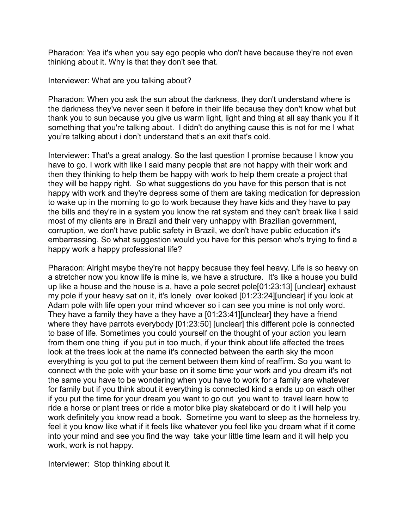Pharadon: Yea it's when you say ego people who don't have because they're not even thinking about it. Why is that they don't see that.

Interviewer: What are you talking about?

Pharadon: When you ask the sun about the darkness, they don't understand where is the darkness they've never seen it before in their life because they don't know what but thank you to sun because you give us warm light, light and thing at all say thank you if it something that you're talking about. I didn't do anything cause this is not for me I what you're talking about i don't understand that's an exit that's cold.

Interviewer: That's a great analogy. So the last question I promise because I know you have to go. I work with like I said many people that are not happy with their work and then they thinking to help them be happy with work to help them create a project that they will be happy right. So what suggestions do you have for this person that is not happy with work and they're depress some of them are taking medication for depression to wake up in the morning to go to work because they have kids and they have to pay the bills and they're in a system you know the rat system and they can't break like I said most of my clients are in Brazil and their very unhappy with Brazilian government, corruption, we don't have public safety in Brazil, we don't have public education it's embarrassing. So what suggestion would you have for this person who's trying to find a happy work a happy professional life?

Pharadon: Alright maybe they're not happy because they feel heavy. Life is so heavy on a stretcher now you know life is mine is, we have a structure. It's like a house you build up like a house and the house is a, have a pole secret pole[01:23:13] [unclear] exhaust my pole if your heavy sat on it, it's lonely over looked [01:23:24][unclear] if you look at Adam pole with life open your mind whoever so i can see you mine is not only word. They have a family they have a they have a [01:23:41][unclear] they have a friend where they have parrots everybody [01:23:50] [unclear] this different pole is connected to base of life. Sometimes you could yourself on the thought of your action you learn from them one thing if you put in too much, if your think about life affected the trees look at the trees look at the name it's connected between the earth sky the moon everything is you got to put the cement between them kind of reaffirm. So you want to connect with the pole with your base on it some time your work and you dream it's not the same you have to be wondering when you have to work for a family are whatever for family but if you think about it everything is connected kind a ends up on each other if you put the time for your dream you want to go out you want to travel learn how to ride a horse or plant trees or ride a motor bike play skateboard or do it i will help you work definitely you know read a book. Sometime you want to sleep as the homeless try, feel it you know like what if it feels like whatever you feel like you dream what if it come into your mind and see you find the way take your little time learn and it will help you work, work is not happy.

Interviewer: Stop thinking about it.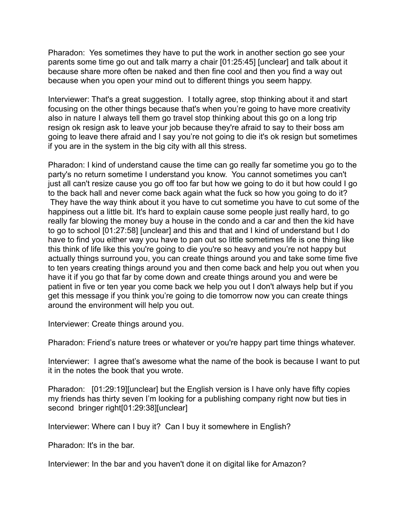Pharadon: Yes sometimes they have to put the work in another section go see your parents some time go out and talk marry a chair [01:25:45] [unclear] and talk about it because share more often be naked and then fine cool and then you find a way out because when you open your mind out to different things you seem happy.

Interviewer: That's a great suggestion. I totally agree, stop thinking about it and start focusing on the other things because that's when you're going to have more creativity also in nature I always tell them go travel stop thinking about this go on a long trip resign ok resign ask to leave your job because they're afraid to say to their boss am going to leave there afraid and I say you're not going to die it's ok resign but sometimes if you are in the system in the big city with all this stress.

Pharadon: I kind of understand cause the time can go really far sometime you go to the party's no return sometime I understand you know. You cannot sometimes you can't just all can't resize cause you go off too far but how we going to do it but how could I go to the back hall and never come back again what the fuck so how you going to do it? They have the way think about it you have to cut sometime you have to cut some of the happiness out a little bit. It's hard to explain cause some people just really hard, to go really far blowing the money buy a house in the condo and a car and then the kid have to go to school [01:27:58] [unclear] and this and that and I kind of understand but I do have to find you either way you have to pan out so little sometimes life is one thing like this think of life like this you're going to die you're so heavy and you're not happy but actually things surround you, you can create things around you and take some time five to ten years creating things around you and then come back and help you out when you have it if you go that far by come down and create things around you and were be patient in five or ten year you come back we help you out I don't always help but if you get this message if you think you're going to die tomorrow now you can create things around the environment will help you out.

Interviewer: Create things around you.

Pharadon: Friend's nature trees or whatever or you're happy part time things whatever.

Interviewer: I agree that's awesome what the name of the book is because I want to put it in the notes the book that you wrote.

Pharadon: [01:29:19][unclear] but the English version is I have only have fifty copies my friends has thirty seven I'm looking for a publishing company right now but ties in second bringer right[01:29:38][unclear]

Interviewer: Where can I buy it? Can I buy it somewhere in English?

Pharadon: It's in the bar.

Interviewer: In the bar and you haven't done it on digital like for Amazon?